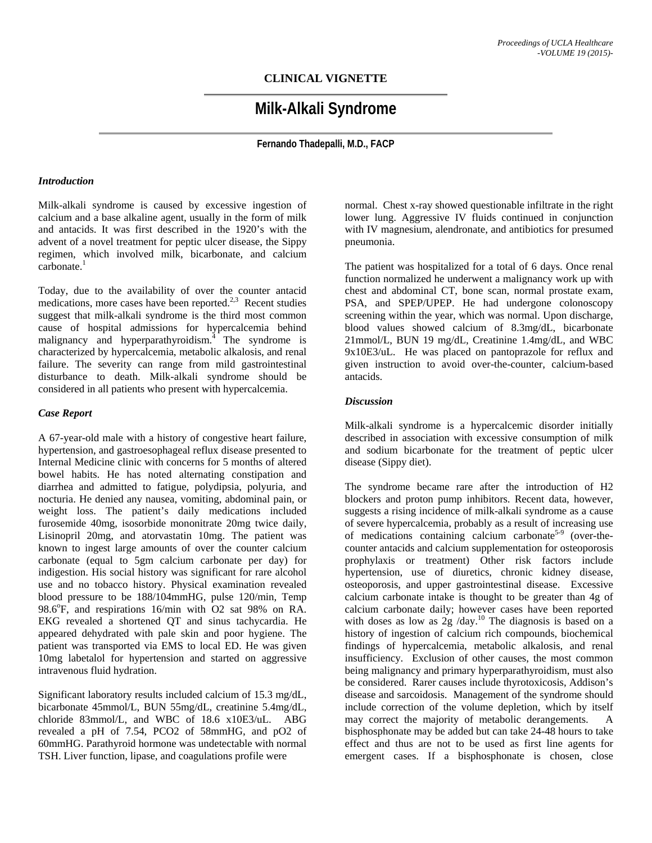# **CLINICAL VIGNETTE**

# **Milk-Alkali Syndrome**

**Fernando Thadepalli, M.D., FACP** 

#### *Introduction*

Milk-alkali syndrome is caused by excessive ingestion of calcium and a base alkaline agent, usually in the form of milk and antacids. It was first described in the 1920's with the advent of a novel treatment for peptic ulcer disease, the Sippy regimen, which involved milk, bicarbonate, and calcium  $carbonate.<sup>1</sup>$ 

Today, due to the availability of over the counter antacid medications, more cases have been reported. $^{2,3}$  Recent studies suggest that milk-alkali syndrome is the third most common cause of hospital admissions for hypercalcemia behind malignancy and hyperparathyroidism.<sup>4</sup> The syndrome is characterized by hypercalcemia, metabolic alkalosis, and renal failure. The severity can range from mild gastrointestinal disturbance to death. Milk-alkali syndrome should be considered in all patients who present with hypercalcemia.

#### *Case Report*

A 67-year-old male with a history of congestive heart failure, hypertension, and gastroesophageal reflux disease presented to Internal Medicine clinic with concerns for 5 months of altered bowel habits. He has noted alternating constipation and diarrhea and admitted to fatigue, polydipsia, polyuria, and nocturia. He denied any nausea, vomiting, abdominal pain, or weight loss. The patient's daily medications included furosemide 40mg, isosorbide mononitrate 20mg twice daily, Lisinopril 20mg, and atorvastatin 10mg. The patient was known to ingest large amounts of over the counter calcium carbonate (equal to 5gm calcium carbonate per day) for indigestion. His social history was significant for rare alcohol use and no tobacco history. Physical examination revealed blood pressure to be 188/104mmHG, pulse 120/min, Temp 98.6°F, and respirations 16/min with O2 sat 98% on RA. EKG revealed a shortened QT and sinus tachycardia. He appeared dehydrated with pale skin and poor hygiene. The patient was transported via EMS to local ED. He was given 10mg labetalol for hypertension and started on aggressive intravenous fluid hydration.

Significant laboratory results included calcium of 15.3 mg/dL, bicarbonate 45mmol/L, BUN 55mg/dL, creatinine 5.4mg/dL, chloride 83mmol/L, and WBC of 18.6 x10E3/uL. ABG revealed a pH of 7.54, PCO2 of 58mmHG, and pO2 of 60mmHG. Parathyroid hormone was undetectable with normal TSH. Liver function, lipase, and coagulations profile were

normal. Chest x-ray showed questionable infiltrate in the right lower lung. Aggressive IV fluids continued in conjunction with IV magnesium, alendronate, and antibiotics for presumed pneumonia.

The patient was hospitalized for a total of 6 days. Once renal function normalized he underwent a malignancy work up with chest and abdominal CT, bone scan, normal prostate exam, PSA, and SPEP/UPEP. He had undergone colonoscopy screening within the year, which was normal. Upon discharge, blood values showed calcium of 8.3mg/dL, bicarbonate 21mmol/L, BUN 19 mg/dL, Creatinine 1.4mg/dL, and WBC 9x10E3/uL. He was placed on pantoprazole for reflux and given instruction to avoid over-the-counter, calcium-based antacids.

#### *Discussion*

Milk-alkali syndrome is a hypercalcemic disorder initially described in association with excessive consumption of milk and sodium bicarbonate for the treatment of peptic ulcer disease (Sippy diet).

The syndrome became rare after the introduction of H2 blockers and proton pump inhibitors. Recent data, however, suggests a rising incidence of milk-alkali syndrome as a cause of severe hypercalcemia, probably as a result of increasing use of medications containing calcium carbonate<sup>5-9</sup> (over-thecounter antacids and calcium supplementation for osteoporosis prophylaxis or treatment) Other risk factors include hypertension, use of diuretics, chronic kidney disease, osteoporosis, and upper gastrointestinal disease. Excessive calcium carbonate intake is thought to be greater than 4g of calcium carbonate daily; however cases have been reported with doses as low as  $2g /day.^{10}$  The diagnosis is based on a history of ingestion of calcium rich compounds, biochemical findings of hypercalcemia, metabolic alkalosis, and renal insufficiency. Exclusion of other causes, the most common being malignancy and primary hyperparathyroidism, must also be considered. Rarer causes include thyrotoxicosis, Addison's disease and sarcoidosis. Management of the syndrome should include correction of the volume depletion, which by itself may correct the majority of metabolic derangements. A bisphosphonate may be added but can take 24-48 hours to take effect and thus are not to be used as first line agents for emergent cases. If a bisphosphonate is chosen, close